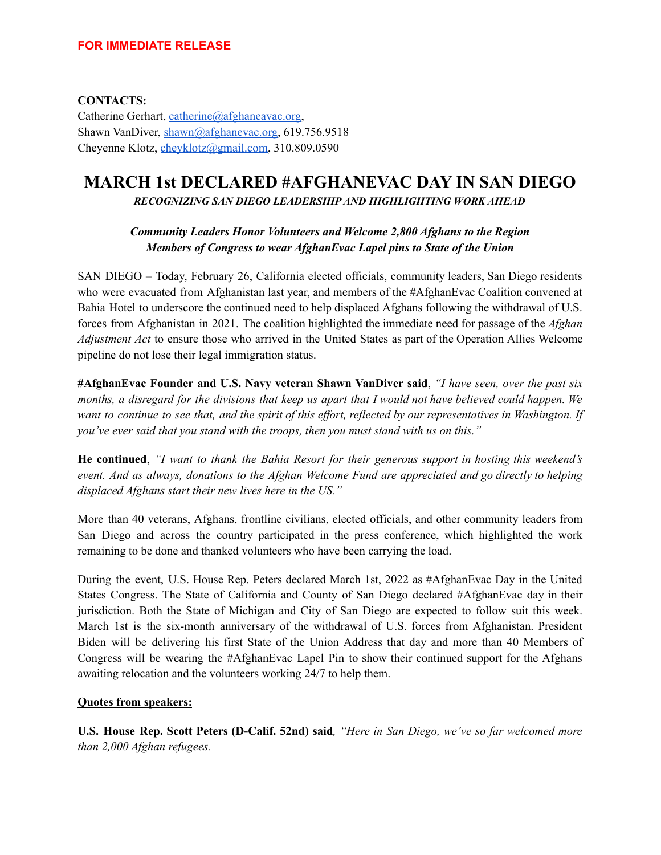**CONTACTS:** Catherine Gerhart, [catherine@afghaneavac.org](mailto:catherine@afghaneavac.org), Shawn VanDiver, [shawn@afghanevac.org](mailto:shawn@afghanevac.org), 619.756.9518 Cheyenne Klotz, [cheyklotz@gmail.com](mailto:cheyklotz@gmail.com), 310.809.0590

# **MARCH 1st DECLARED #AFGHANEVAC DAY IN SAN DIEGO** *RECOGNIZING SAN DIEGO LEADERSHIP AND HIGHLIGHTING WORK AHEAD*

## *Community Leaders Honor Volunteers and Welcome 2,800 Afghans to the Region Members of Congress to wear AfghanEvac Lapel pins to State of the Union*

SAN DIEGO – Today, February 26, California elected officials, community leaders, San Diego residents who were evacuated from Afghanistan last year, and members of the #AfghanEvac Coalition convened at Bahia Hotel to underscore the continued need to help displaced Afghans following the withdrawal of U.S. forces from Afghanistan in 2021. The coalition highlighted the immediate need for passage of the *Afghan Adjustment Act* to ensure those who arrived in the United States as part of the Operation Allies Welcome pipeline do not lose their legal immigration status.

**#AfghanEvac Founder and U.S. Navy veteran Shawn VanDiver said**, *"I have seen, over the past six* months, a disregard for the divisions that keep us apart that I would not have believed could happen. We want to continue to see that, and the spirit of this effort, reflected by our representatives in Washington. If *you've ever said that you stand with the troops, then you must stand with us on this."*

**He continued**, *"I want to thank the Bahia Resort for their generous support in hosting this weekend's event. And as always, donations to the Afghan Welcome Fund are appreciated and go directly to helping displaced Afghans start their new lives here in the US."*

More than 40 veterans, Afghans, frontline civilians, elected officials, and other community leaders from San Diego and across the country participated in the press conference, which highlighted the work remaining to be done and thanked volunteers who have been carrying the load.

During the event, U.S. House Rep. Peters declared March 1st, 2022 as #AfghanEvac Day in the United States Congress. The State of California and County of San Diego declared #AfghanEvac day in their jurisdiction. Both the State of Michigan and City of San Diego are expected to follow suit this week. March 1st is the six-month anniversary of the withdrawal of U.S. forces from Afghanistan. President Biden will be delivering his first State of the Union Address that day and more than 40 Members of Congress will be wearing the #AfghanEvac Lapel Pin to show their continued support for the Afghans awaiting relocation and the volunteers working 24/7 to help them.

## **Quotes from speakers:**

**U.S. House Rep. Scott Peters (D-Calif. 52nd) said***, "Here in San Diego, we've so far welcomed more than 2,000 Afghan refugees.*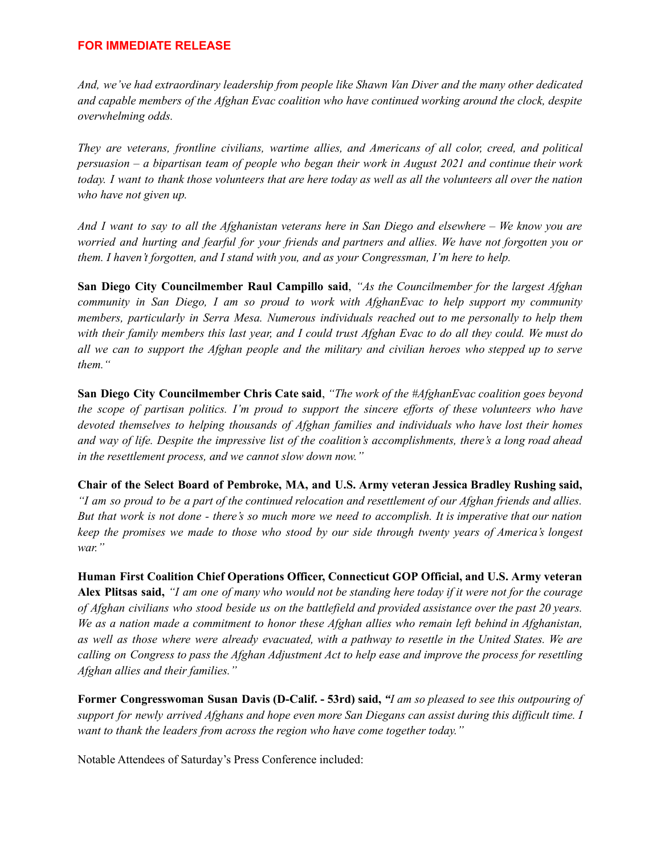#### **FOR IMMEDIATE RELEASE**

*And, we've had extraordinary leadership from people like Shawn Van Diver and the many other dedicated and capable members of the Afghan Evac coalition who have continued working around the clock, despite overwhelming odds.*

*They are veterans, frontline civilians, wartime allies, and Americans of all color, creed, and political* persuasion – a bipartisan team of people who began their work in August 2021 and continue their work today. I want to thank those volunteers that are here today as well as all the volunteers all over the nation *who have not given up.*

And I want to say to all the Afghanistan veterans here in San Diego and elsewhere – We know you are worried and hurting and fearful for your friends and partners and allies. We have not forgotten you or *them. I haven't forgotten, and I stand with you, and as your Congressman, I'm here to help.*

**San Diego City Councilmember Raul Campillo said**, *"As the Councilmember for the largest Afghan community in San Diego, I am so proud to work with AfghanEvac to help support my community members, particularly in Serra Mesa. Numerous individuals reached out to me personally to help them* with their family members this last year, and I could trust Afghan Evac to do all they could. We must do all we can to support the Afghan people and the military and civilian heroes who stepped up to serve *them."*

**San Diego City Councilmember Chris Cate said**, *"The work of the #AfghanEvac coalition goes beyond* the scope of partisan politics. I'm proud to support the sincere efforts of these volunteers who have *devoted themselves to helping thousands of Afghan families and individuals who have lost their homes* and way of life. Despite the impressive list of the coalition's accomplishments, there's a long road ahead *in the resettlement process, and we cannot slow down now."*

**Chair of the Select Board of Pembroke, MA, and U.S. Army veteran Jessica Bradley Rushing said,** "I am so proud to be a part of the continued relocation and resettlement of our Afghan friends and allies. But that work is not done - there's so much more we need to accomplish. It is imperative that our nation *keep the promises we made to those who stood by our side through twenty years of America's longest war."*

**Human First Coalition Chief Operations Officer, Connecticut GOP Official, and U.S. Army veteran** Alex Plitsas said, "I am one of many who would not be standing here today if it were not for the courage of Afghan civilians who stood beside us on the battlefield and provided assistance over the past 20 years. We as a nation made a commitment to honor these Afghan allies who remain left behind in Afghanistan, as well as those where were already evacuated, with a pathway to resettle in the United States. We are calling on Congress to pass the Afghan Adjustment Act to help ease and improve the process for resettling *Afghan allies and their families."*

Former Congresswoman Susan Davis (D-Calif. - 53rd) said, "I am so pleased to see this outpouring of support for newly arrived Afghans and hope even more San Diegans can assist during this difficult time. I *want to thank the leaders from across the region who have come together today."*

Notable Attendees of Saturday's Press Conference included: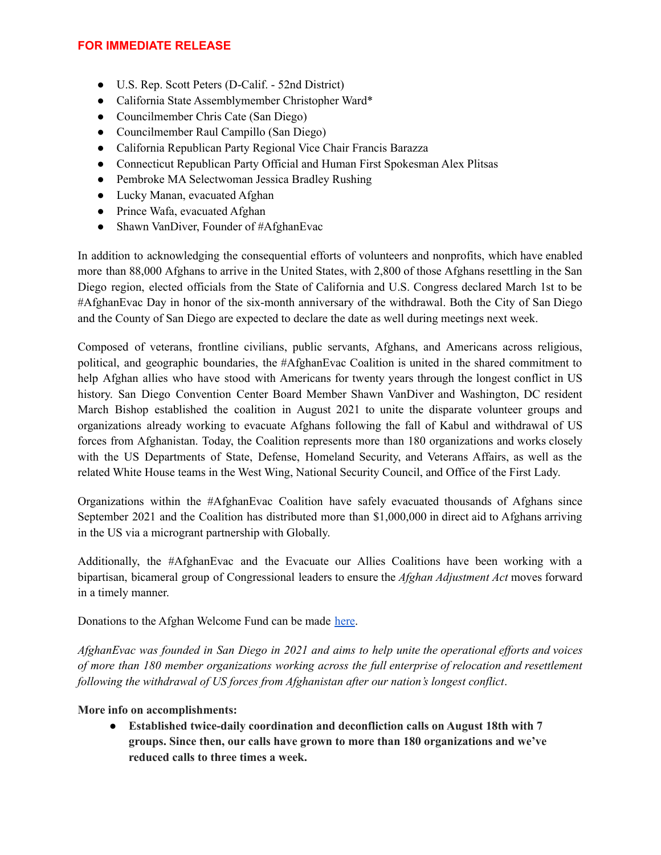#### **FOR IMMEDIATE RELEASE**

- U.S. Rep. Scott Peters (D-Calif. 52nd District)
- California State Assemblymember Christopher Ward\*
- Councilmember Chris Cate (San Diego)
- Councilmember Raul Campillo (San Diego)
- California Republican Party Regional Vice Chair Francis Barazza
- Connecticut Republican Party Official and Human First Spokesman Alex Plitsas
- Pembroke MA Selectwoman Jessica Bradley Rushing
- Lucky Manan, evacuated Afghan
- Prince Wafa, evacuated Afghan
- Shawn VanDiver, Founder of #AfghanEvac

In addition to acknowledging the consequential efforts of volunteers and nonprofits, which have enabled more than 88,000 Afghans to arrive in the United States, with 2,800 of those Afghans resettling in the San Diego region, elected officials from the State of California and U.S. Congress declared March 1st to be #AfghanEvac Day in honor of the six-month anniversary of the withdrawal. Both the City of San Diego and the County of San Diego are expected to declare the date as well during meetings next week.

Composed of veterans, frontline civilians, public servants, Afghans, and Americans across religious, political, and geographic boundaries, the #AfghanEvac Coalition is united in the shared commitment to help Afghan allies who have stood with Americans for twenty years through the longest conflict in US history. San Diego Convention Center Board Member Shawn VanDiver and Washington, DC resident March Bishop established the coalition in August 2021 to unite the disparate volunteer groups and organizations already working to evacuate Afghans following the fall of Kabul and withdrawal of US forces from Afghanistan. Today, the Coalition represents more than 180 organizations and works closely with the US Departments of State, Defense, Homeland Security, and Veterans Affairs, as well as the related White House teams in the West Wing, National Security Council, and Office of the First Lady.

Organizations within the #AfghanEvac Coalition have safely evacuated thousands of Afghans since September 2021 and the Coalition has distributed more than \$1,000,000 in direct aid to Afghans arriving in the US via a microgrant partnership with Globally.

Additionally, the #AfghanEvac and the Evacuate our Allies Coalitions have been working with a bipartisan, bicameral group of Congressional leaders to ensure the *Afghan Adjustment Act* moves forward in a timely manner.

Donations to the Afghan Welcome Fund can be made [here](https://www.ypfp.org/donate/).

AfghanEvac was founded in San Diego in 2021 and aims to help unite the operational efforts and voices *of more than 180 member organizations working across the full enterprise of relocation and resettlement following the withdrawal of US forces from Afghanistan after our nation's longest conflict*.

## **More info on accomplishments:**

**● Established twice-daily coordination and deconfliction calls on August 18th with 7 groups. Since then, our calls have grown to more than 180 organizations and we've reduced calls to three times a week.**